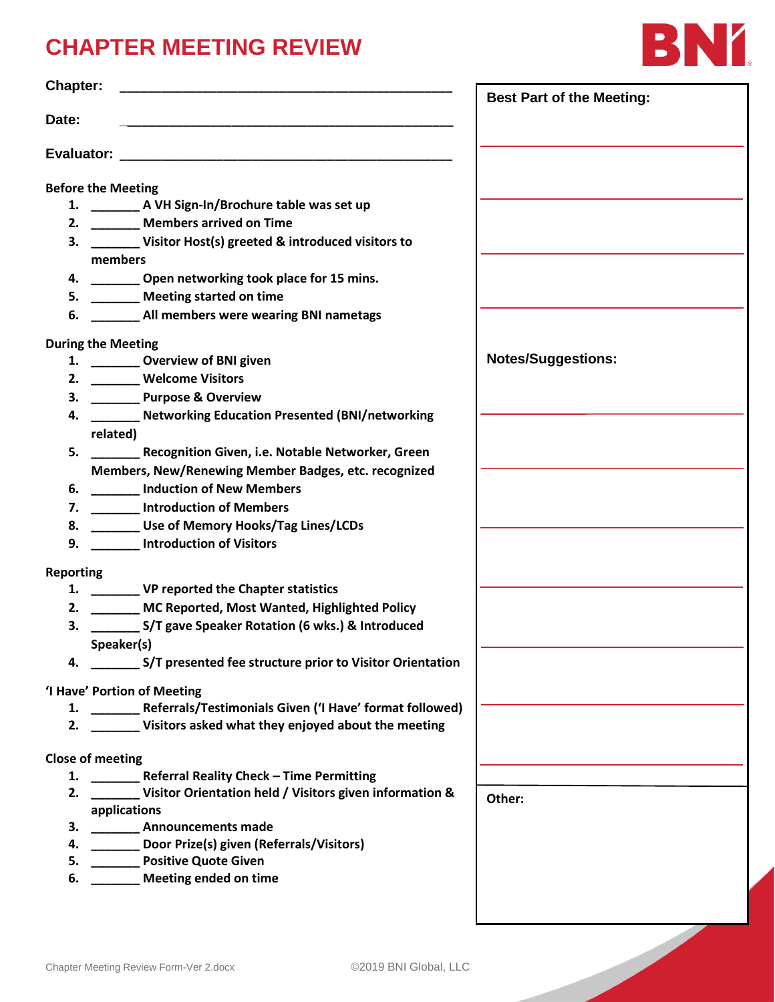## **CHAPTER MEETING REVIEW**



| Chapter:         |                                                                       | <b>Best Part of the Meeting:</b> |
|------------------|-----------------------------------------------------------------------|----------------------------------|
| Date:            |                                                                       |                                  |
|                  |                                                                       |                                  |
|                  | <b>Before the Meeting</b>                                             |                                  |
|                  | 1. ________ A VH Sign-In/Brochure table was set up                    |                                  |
|                  | 2. _______ Members arrived on Time                                    |                                  |
|                  | 3. _______ Visitor Host(s) greeted & introduced visitors to           |                                  |
|                  | members                                                               |                                  |
|                  | 4. ________ Open networking took place for 15 mins.                   |                                  |
|                  | 5. _______ Meeting started on time                                    |                                  |
|                  | 6. ________ All members were wearing BNI nametags                     |                                  |
|                  |                                                                       |                                  |
|                  | <b>During the Meeting</b>                                             |                                  |
|                  | 1. __________ Overview of BNI given                                   | <b>Notes/Suggestions:</b>        |
|                  | 2. Welcome Visitors                                                   |                                  |
|                  | 3. ________ Purpose & Overview                                        |                                  |
|                  | 4. ______ Networking Education Presented (BNI/networking              |                                  |
|                  | related)                                                              |                                  |
|                  | 5. _________ Recognition Given, i.e. Notable Networker, Green         |                                  |
|                  | Members, New/Renewing Member Badges, etc. recognized                  |                                  |
|                  | 6. _______ Induction of New Members                                   |                                  |
|                  | 7. ________ Introduction of Members                                   |                                  |
|                  | 8. _______ Use of Memory Hooks/Tag Lines/LCDs                         |                                  |
|                  | 9. Introduction of Visitors                                           |                                  |
|                  |                                                                       |                                  |
| <b>Reporting</b> |                                                                       |                                  |
|                  | 1. ___________ VP reported the Chapter statistics                     |                                  |
|                  | 2. _______ MC Reported, Most Wanted, Highlighted Policy               |                                  |
|                  | 3. __________ S/T gave Speaker Rotation (6 wks.) & Introduced         |                                  |
|                  | Speaker(s)                                                            |                                  |
|                  | 4. _________ S/T presented fee structure prior to Visitor Orientation |                                  |
|                  | 'I Have' Portion of Meeting                                           |                                  |
|                  | 1. ________ Referrals/Testimonials Given ('I Have' format followed)   |                                  |
|                  | 2. Visitors asked what they enjoyed about the meeting                 |                                  |
|                  | <b>Close of meeting</b>                                               |                                  |
|                  | 1. ________ Referral Reality Check - Time Permitting                  |                                  |
|                  | 2. ________ Visitor Orientation held / Visitors given information &   |                                  |
|                  | applications                                                          | Other:                           |
|                  | 3. ___________ Announcements made                                     |                                  |
|                  | 4. _______ Door Prize(s) given (Referrals/Visitors)                   |                                  |
|                  | 5. _________ Positive Quote Given                                     |                                  |
|                  | 6. ________ Meeting ended on time                                     |                                  |
|                  |                                                                       |                                  |
|                  |                                                                       |                                  |
|                  |                                                                       |                                  |
|                  |                                                                       |                                  |
|                  | ©2019 BNI Global, LLC<br>Chapter Meeting Review Form-Ver 2.docx       |                                  |
|                  |                                                                       |                                  |
|                  |                                                                       |                                  |